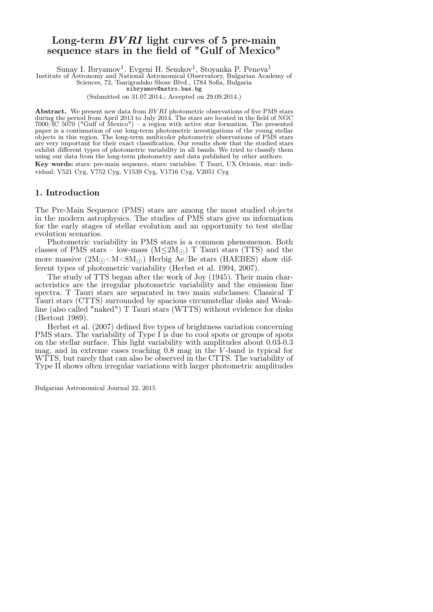# Long-term  $BVRI$  light curves of 5 pre-main sequence stars in the field of "Gulf of Mexico"

Sunay I. Ibryamov<sup>1</sup>, Evgeni H. Semkov<sup>1</sup>, Stoyanka P. Peneva<sup>1</sup>

Institute of Astronomy and National Astronomical Observatory, Bulgarian Academy of Sciences, 72, Tsarigradsko Shose Blvd., 1784 Sofia, Bulgaria

sibryamov@astro.bas.bg

(Submitted on 31.07.2014.; Accepted on 29.09.2014.)

Abstract. We present new data from  $BVRI$  photometric observations of five PMS stars during the period from April 2013 to July 2014. The stars are located in the field of NGC  $7000$ /IC 5070 ("Gulf of Mexico") – a region with active star formation. The presented paper is a continuation of our long-term photometric investigations of the young stellar objects in this region. The long-term multicolor photometric observations of PMS stars are very important for their exact classification. Our results show that the studied stars exhibit different types of photometric variability in all bands. We tried to classify them using our data from the long-term photometry and data published by other authors. Key words: stars: pre-main sequence, stars: variables: T Tauri, UX Orionis, star: indi-

vidual: V521 Cyg, V752 Cyg, V1539 Cyg, V1716 Cyg, V2051 Cyg

# 1. Introduction

The Pre-Main Sequence (PMS) stars are among the most studied objects in the modern astrophysics. The studies of PMS stars give us information for the early stages of stellar evolution and an opportunity to test stellar evolution scenarios.

Photometric variability in PMS stars is a common phenomenon. Both classes of PMS stars – low-mass ( $M \leq 2M$ ) T Tauri stars (TTS) and the more massive  $(2M_{\odot} < M < 8M_{\odot})$  Herbig Ae/Be stars (HAEBES) show different types of photometric variability (Herbst et al. 1994, 2007).

The study of TTS began after the work of Joy (1945). Their main characteristics are the irregular photometric variability and the emission line spectra. T Tauri stars are separated in two main subclasses: Classical T Tauri stars (CTTS) surrounded by spacious circumstellar disks and Weakline (also called "naked") T Tauri stars (WTTS) without evidence for disks (Bertout 1989).

Herbst et al. (2007) defined five types of brightness variation concerning PMS stars. The variability of Type I is due to cool spots or groups of spots on the stellar surface. This light variability with amplitudes about 0.03-0.3 mag, and in extreme cases reaching 0.8 mag in the V -band is typical for WTTS, but rarely that can also be observed in the CTTS. The variability of Type II shows often irregular variations with larger photometric amplitudes

Bulgarian Astronomical Journal 22, 2015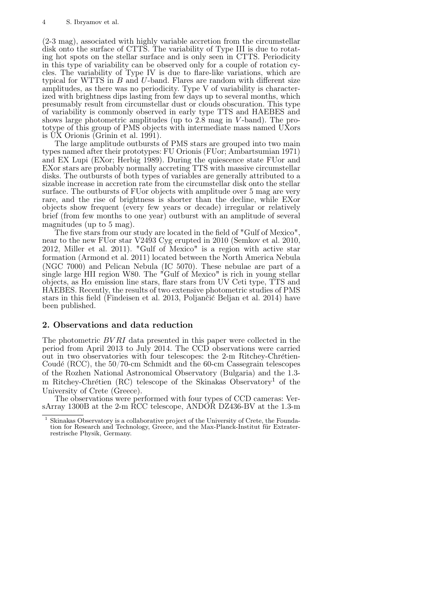(2-3 mag), associated with highly variable accretion from the circumstellar disk onto the surface of CTTS. The variability of Type III is due to rotating hot spots on the stellar surface and is only seen in CTTS. Periodicity in this type of variability can be observed only for a couple of rotation cycles. The variability of Type IV is due to flare-like variations, which are typical for WTTS in  $B$  and  $U$ -band. Flares are random with different size amplitudes, as there was no periodicity. Type V of variability is characterized with brightness dips lasting from few days up to several months, which presumably result from circumstellar dust or clouds obscuration. This type of variability is commonly observed in early type TTS and HAEBES and shows large photometric amplitudes (up to 2.8 mag in V-band). The prototype of this group of PMS objects with intermediate mass named UXors is UX Orionis (Grinin et al. 1991).

The large amplitude outbursts of PMS stars are grouped into two main types named after their prototypes: FU Orionis (FUor; Ambartsumian 1971) and EX Lupi (EXor; Herbig 1989). During the quiescence state FUor and EXor stars are probably normally accreting TTS with massive circumstellar disks. The outbursts of both types of variables are generally attributed to a sizable increase in accretion rate from the circumstellar disk onto the stellar surface. The outbursts of FUor objects with amplitude over 5 mag are very rare, and the rise of brightness is shorter than the decline, while EXor objects show frequent (every few years or decade) irregular or relatively brief (from few months to one year) outburst with an amplitude of several magnitudes (up to 5 mag).

The five stars from our study are located in the field of "Gulf of Mexico", near to the new FUor star V2493 Cyg erupted in 2010 (Semkov et al. 2010, 2012, Miller et al. 2011). "Gulf of Mexico" is a region with active star formation (Armond et al. 2011) located between the North America Nebula (NGC 7000) and Pelican Nebula (IC 5070). These nebulae are part of a single large HII region W80. The "Gulf of Mexico" is rich in young stellar objects, as  $H\alpha$  emission line stars, flare stars from UV Ceti type, TTS and HAEBES. Recently, the results of two extensive photometric studies of PMS stars in this field (Findeisen et al. 2013, Poljancić Beljan et al. 2014) have been published.

## 2. Observations and data reduction

The photometric BV RI data presented in this paper were collected in the period from April 2013 to July 2014. The CCD observations were carried out in two observatories with four telescopes: the  $2-m$  Ritchey-Chrétien-Coudé (RCC), the  $50/70$ -cm Schmidt and the 60-cm Cassegrain telescopes of the Rozhen National Astronomical Observatory (Bulgaria) and the 1.3 m Ritchey-Chrétien (RC) telescope of the Skinakas Observatory<sup>1</sup> of the University of Crete (Greece).

The observations were performed with four types of CCD cameras: VersArray 1300B at the 2-m RCC telescope, ANDOR DZ436-BV at the 1.3-m

<sup>1</sup> Skinakas Observatory is a collaborative project of the University of Crete, the Foundation for Research and Technology, Greece, and the Max-Planck-Institut für Extraterrestrische Physik, Germany.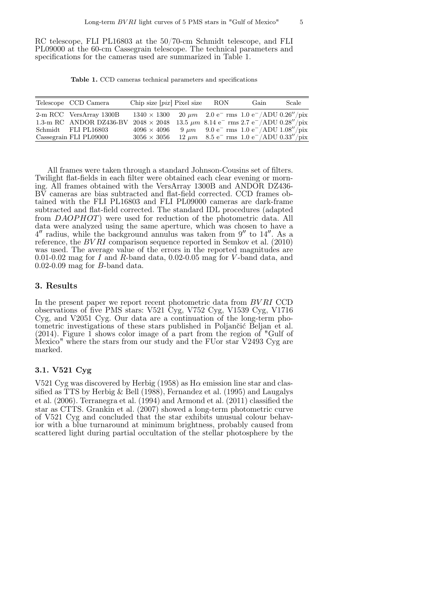RC telescope, FLI PL16803 at the 50/70-cm Schmidt telescope, and FLI PL09000 at the 60-cm Cassegrain telescope. The technical parameters and specifications for the cameras used are summarized in Table 1.

Table 1. CCD cameras technical parameters and specifications

| Telescope CCD Camera    | Chip size $\lceil pix \rceil$ Pixel size                                               | RON | Gain                                                                   | Scale |
|-------------------------|----------------------------------------------------------------------------------------|-----|------------------------------------------------------------------------|-------|
| 2-m RCC VersArray 1300B | $1340 \times 1300$                                                                     |     | $20 \mu m$ 2.0 e <sup>-</sup> rms 1.0 e <sup>-</sup> /ADU 0.26''/pix   |       |
| 1.3-m RC ANDOR DZ436-BV | $2048 \times 2048$                                                                     |     | 13.5 $\mu$ m 8.14 e <sup>-</sup> rms 2.7 e <sup>-</sup> /ADU 0.28"/pix |       |
| Schmidt FLI PL16803     | $4096 \times 4096$ 9 $\mu$ m 9.0 e <sup>-</sup> rms 1.0 e <sup>-</sup> /ADU 1.08''/pix |     |                                                                        |       |
| Cassegrain FLI PL09000  | $3056 \times 3056$                                                                     |     | $12 \mu m$ 8.5 e <sup>-</sup> rms 1.0 e <sup>-</sup> /ADU 0.33"/pix    |       |

All frames were taken through a standard Johnson-Cousins set of filters. Twilight flat-fields in each filter were obtained each clear evening or morning. All frames obtained with the VersArray 1300B and ANDOR DZ436- BV cameras are bias subtracted and flat-field corrected. CCD frames obtained with the FLI PL16803 and FLI PL09000 cameras are dark-frame subtracted and flat-field corrected. The standard IDL procedures (adapted from DAOPHOT) were used for reduction of the photometric data. All data were analyzed using the same aperture, which was chosen to have a  $4''$  radius, while the background annulus was taken from  $9''$  to  $14''$ . As a reference, the BV RI comparison sequence reported in Semkov et al. (2010) was used. The average value of the errors in the reported magnitudes are 0.01-0.02 mag for  $I$  and  $R$ -band data, 0.02-0.05 mag for  $V$ -band data, and 0.02-0.09 mag for B-band data.

## 3. Results

In the present paper we report recent photometric data from BVRI CCD observations of five PMS stars: V521 Cyg, V752 Cyg, V1539 Cyg, V1716 Cyg, and V2051 Cyg. Our data are a continuation of the long-term photometric investigations of these stars published in Poljančić Beljan et al. (2014). Figure  $\overline{1}$  shows color image of a part from the region of "Gulf of Mexico" where the stars from our study and the FUor star V2493 Cyg are marked.

## 3.1. V521 Cyg

V521 Cyg was discovered by Herbig (1958) as  $H\alpha$  emission line star and classified as TTS by Herbig & Bell (1988), Fernandez et al. (1995) and Laugalys et al. (2006). Terranegra et al. (1994) and Armond et al. (2011) classified the star as CTTS. Grankin et al. (2007) showed a long-term photometric curve of V521 Cyg and concluded that the star exhibits unusual colour behavior with a blue turnaround at minimum brightness, probably caused from scattered light during partial occultation of the stellar photosphere by the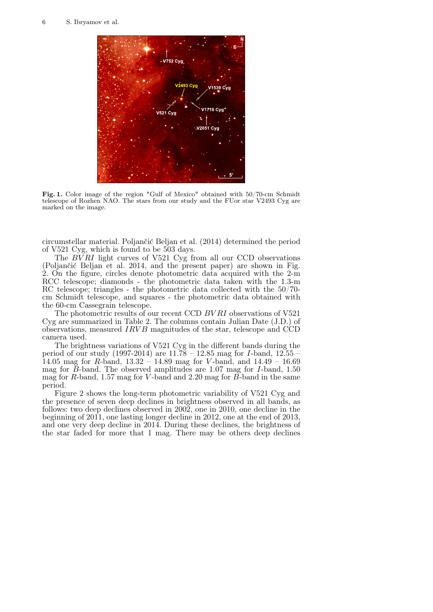

Fig. 1. Color image of the region "Gulf of Mexico" obtained with 50/70-cm Schmidt telescope of Rozhen NAO. The stars from our study and the FUor star V2493 Cyg are marked on the image.

circumstellar material. Poljančić Beljan et al. (2014) determined the period of V521 Cyg, which is found to be 503 days.

The  $BVRI$  light curves of V521 Cyg from all our CCD observations (Poljančić Beljan et al. 2014, and the present paper) are shown in Fig. 2. On the figure, circles denote photometric data acquired with the 2-m RCC telescope; diamonds - the photometric data taken with the 1.3-m RC telescope; triangles - the photometric data collected with the 50/70 cm Schmidt telescope, and squares - the photometric data obtained with the 60-cm Cassegrain telescope.

The photometric results of our recent CCD BV RI observations of V521 Cyg are summarized in Table 2. The columns contain Julian Date (J.D.) of observations, measured  $IRVB$  magnitudes of the star, telescope and CCD camera used.

The brightness variations of V521 Cyg in the different bands during the period of our study (1997-2014) are  $11.78 - 12.85$  mag for *I*-band,  $12.55 -$ 14.05 mag for R-band,  $13.32 - 14.89$  mag for V-band, and  $14.49 - 16.69$ mag for  $\tilde{B}$ -band. The observed amplitudes are 1.07 mag for *I*-band, 1.50 mag for R-band, 1.57 mag for V-band and 2.20 mag for  $\overline{B}$ -band in the same period.

Figure 2 shows the long-term photometric variability of V521 Cyg and the presence of seven deep declines in brightness observed in all bands, as follows: two deep declines observed in 2002, one in 2010, one decline in the beginning of 2011, one lasting longer decline in 2012, one at the end of 2013, and one very deep decline in 2014. During these declines, the brightness of the star faded for more that 1 mag. There may be others deep declines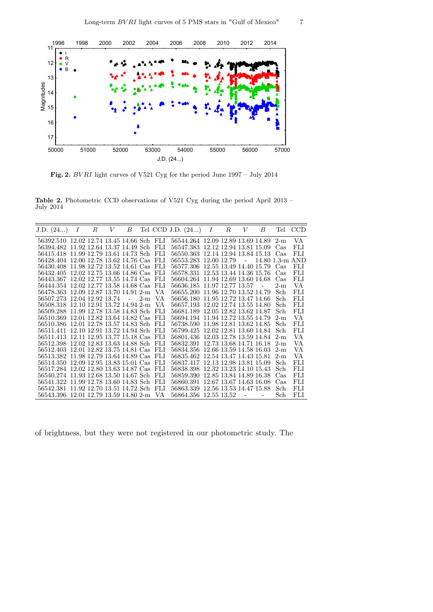

Fig. 2. BV RI light curves of V521 Cyg for the period June 1997 – July 2014

Table 2. Photometric CCD observations of V521 Cyg during the period April 2013 – July 2014

| J.D. (24)                                 | $\boldsymbol{I}$ | R | $V^-$ | В          |       |       | Tel CCD J.D. $(24)$               | I | R | V | В | Tel               | <b>CCD</b> |
|-------------------------------------------|------------------|---|-------|------------|-------|-------|-----------------------------------|---|---|---|---|-------------------|------------|
| 56392.510 12.02 12.74 13.45 14.66 Sch FLI |                  |   |       |            |       |       | 56544.264 12.09 12.89 13.69 14.89 |   |   |   |   | $2-m$             | VA         |
| 56394.482 11.92 12.64 13.37 14.49 Sch     |                  |   |       |            |       | - FLI | 56547.383 12.12 12.94 13.81 15.09 |   |   |   |   | Cas               | FLI        |
| 56415.418 11.99 12.79 13.61 14.73 Sch     |                  |   |       |            |       | - FLI | 56550.363 12.14 12.94 13.84 15.13 |   |   |   |   | Cas               | FLI        |
| 56428.404 12.00 12.78 13.62 14.76 Cas FLI |                  |   |       |            |       |       | 56553.283 12.00 12.79 -           |   |   |   |   | $14.80$ 1.3-m AND |            |
| 56430.408 11.98 12.72 13.52 14.61 Cas FLI |                  |   |       |            |       |       | 56577.306 12.55 13.49 14.40 15.79 |   |   |   |   | Cas               | FLI        |
| 56432.405 12.02 12.75 13.66 14.86 Cas     |                  |   |       |            |       | - FLI | 56578.331 12.53 13.44 14.36 15.76 |   |   |   |   | Cas               | FLI        |
| 56443.367 12.02 12.77 13.55 14.74 Cas FLI |                  |   |       |            |       |       | 56604.264 11.94 12.69 13.60 14.68 |   |   |   |   | $\rm Cas$         | FLI        |
| 56444.354 12.02 12.77 13.58 14.68 Cas     |                  |   |       |            |       | -FLI  | 56636.185 11.97 12.77 13.57       |   |   |   |   | $2-m$             | VA         |
| 56478.363 12.09 12.87 13.70 14.91 2-m     |                  |   |       |            |       | VA    | 56655.200 11.96 12.70 13.52 14.79 |   |   |   |   | Sch               | FLI        |
| 56507.273 12.04 12.92 13.74               |                  |   |       | $\sim 100$ | $2-m$ | VA.   | 56656.180 11.95 12.72 13.47 14.66 |   |   |   |   | Sch               | <b>FLI</b> |
| 56508.318 12.10 12.91 13.72 14.94 2-m     |                  |   |       |            |       | VA    | 56657.193 12.02 12.74 13.55 14.80 |   |   |   |   | Sch               | FLI        |
| 56509.288 11.99 12.78 13.58 14.83 Sch     |                  |   |       |            |       | -FLI  | 56681.189 12.05 12.82 13.62 14.87 |   |   |   |   | Sch               | <b>FLI</b> |
| 56510.369 12.01 12.82 13.64 14.82 Cas     |                  |   |       |            |       | - FLI | 56694.194 11.94 12.72 13.55 14.79 |   |   |   |   | $2-m$             | VA         |
| 56510.386 12.01 12.78 13.57 14.83 Sch     |                  |   |       |            |       | - FLI | 56738.590 11.98 12.81 13.62 14.85 |   |   |   |   | Sch               | <b>FLI</b> |
| 56511.411 12.10 12.91 13.72 14.94 Sch     |                  |   |       |            |       | - FLI | 56799.425 12.02 12.81 13.60 14.84 |   |   |   |   | Sch               | FLI        |
| 56511.413 12.11 12.95 13.77 15.18 Cas FLI |                  |   |       |            |       |       | 56801.436 12.03 12.78 13.59 14.84 |   |   |   |   | $2-m$             | VA         |
| 56512.398 12.02 12.83 13.63 14.88 Sch     |                  |   |       |            |       | -FLI  | 56832.391 12.73 13.68 14.71 16.18 |   |   |   |   | $2-m$             | VA         |
| 56512.403 12.01 12.82 13.75 14.81 Cas FLI |                  |   |       |            |       |       | 56834.356 12.66 13.59 14.58 16.03 |   |   |   |   | $2-m$             | VA         |
| 56513.382 11.98 12.79 13.64 14.89 Cas FLI |                  |   |       |            |       |       | 56835.462 12.54 13.47 14.43 15.81 |   |   |   |   | $2-m$             | VA         |
| 56514.350 12.09 12.95 13.83 15.01 Cas FLI |                  |   |       |            |       |       | 56837.417 12.13 12.98 13.81 15.09 |   |   |   |   | Sch               | FLI        |
| 56517.284 12.02 12.80 13.63 14.87 Cas     |                  |   |       |            |       | - FLI | 56838.398 12.32 13.23 14.10 15.43 |   |   |   |   | Sch               | FLI        |
| 56540.274 11.93 12.68 13.50 14.67 Sch     |                  |   |       |            |       | -FLI  | 56859.390 12.85 13.84 14.89 16.38 |   |   |   |   | Cas               | FLI        |
| 56541.322 11.99 12.78 13.60 14.83 Sch     |                  |   |       |            |       | -FLI  | 56860.391 12.67 13.67 14.63 16.08 |   |   |   |   | Cas               | FLI        |
| 56542.381 11.92 12.70 13.51 14.72 Sch     |                  |   |       |            |       | - FLI | 56863.339 12.56 13.53 14.47 15.88 |   |   |   |   | Sch               | <b>FLI</b> |
| 56543.396 12.01 12.79 13.59 14.80 2-m     |                  |   |       |            |       | - VA  | 56864.356 12.55 13.52             |   |   |   |   | Sch               | FLI        |

of brightness, but they were not registered in our photometric study. The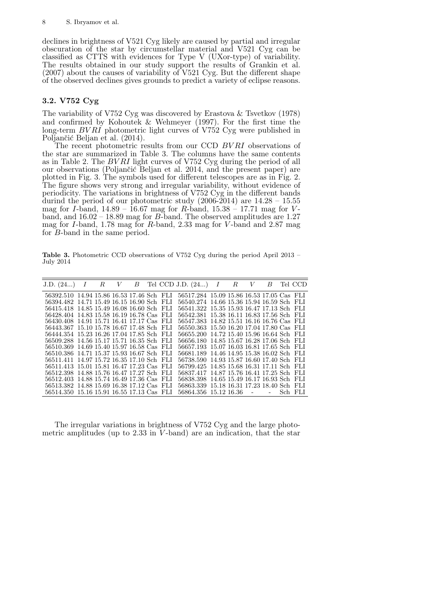declines in brightness of V521 Cyg likely are caused by partial and irregular obscuration of the star by circumstellar material and V521 Cyg can be classified as CTTS with evidences for Type V (UXor-type) of variability. The results obtained in our study support the results of Grankin et al. (2007) about the causes of variability of V521 Cyg. But the different shape of the observed declines gives grounds to predict a variety of eclipse reasons.

# 3.2. V752 Cyg

The variability of V752 Cyg was discovered by Erastova & Tsvetkov (1978) and confirmed by Kohoutek & Wehmeyer (1997). For the first time the long-term  $BVRI$  photometric light curves of V752 Cyg were published in Poljančić Beljan et al. (2014).

The recent photometric results from our CCD BV RI observations of the star are summarized in Table 3. The columns have the same contents as in Table 2. The BV RI light curves of V752 Cyg during the period of all our observations (Poljančić Beljan et al. 2014, and the present paper) are plotted in Fig. 3. The symbols used for different telescopes are as in Fig. 2. The figure shows very strong and irregular variability, without evidence of periodicity. The variations in brightness of V752 Cyg in the different bands durind the period of our photometric study  $(2006-2014)$  are  $14.28 - 15.55$ mag for *I*-band,  $14.89 - 16.67$  mag for *R*-band,  $15.38 - 17.71$  mag for *V*band, and  $16.02 - 18.89$  mag for B-band. The observed amplitudes are 1.27 mag for I-band, 1.78 mag for R-band, 2.33 mag for V -band and 2.87 mag for B-band in the same period.

Table 3. Photometric CCD observations of V752 Cyg during the period April 2013 – July 2014

| J.D. (24)                                 | $\boldsymbol{I}$ | $_{R}$ |  |  | $V$ B Tel CCD J.D. $(24)$                 | $\boldsymbol{I}$ | R | $V$ B Tel CCD |  |
|-------------------------------------------|------------------|--------|--|--|-------------------------------------------|------------------|---|---------------|--|
| 56392.510 14.94 15.86 16.53 17.46 Sch FLI |                  |        |  |  | 56517.284 15.09 15.86 16.53 17.05 Cas FLI |                  |   |               |  |
| 56394.482 14.71 15.49 16.15 16.90 Sch FLI |                  |        |  |  | 56540.274 14.66 15.36 15.94 16.59 Sch FLI |                  |   |               |  |
| 56415.418 14.85 15.49 16.08 16.60 Sch FLI |                  |        |  |  | 56541.322 15.35 15.93 16.47 17.13 Sch FLI |                  |   |               |  |
| 56428.404 14.83 15.58 16.19 16.78 Cas FLI |                  |        |  |  | 56542.381 15.38 16.11 16.83 17.56 Sch FLI |                  |   |               |  |
| 56430.408 14.91 15.71 16.41 17.17 Cas FLI |                  |        |  |  | 56547.383 14.82 15.51 16.16 16.76 Cas FLI |                  |   |               |  |
| 56443.367 15.10 15.78 16.67 17.48 Sch FLI |                  |        |  |  | 56550.363 15.50 16.20 17.04 17.80 Cas FLI |                  |   |               |  |
| 56444.354 15.23 16.26 17.04 17.85 Sch FLI |                  |        |  |  | 56655.200 14.72 15.40 15.96 16.64 Sch FLI |                  |   |               |  |
| 56509.288 14.56 15.17 15.71 16.35 Sch FLI |                  |        |  |  | 56656.180 14.85 15.67 16.28 17.06 Sch FLI |                  |   |               |  |
| 56510.369 14.69 15.40 15.97 16.58 Cas FLI |                  |        |  |  | 56657.193 15.07 16.03 16.81 17.65 Sch FLI |                  |   |               |  |
| 56510.386 14.71 15.37 15.93 16.67 Sch FLI |                  |        |  |  | 56681.189 14.46 14.95 15.38 16.02 Sch FLI |                  |   |               |  |
| 56511.411 14.97 15.72 16.35 17.10 Sch FLI |                  |        |  |  | 56738.590 14.93 15.87 16.60 17.40 Sch FLI |                  |   |               |  |
| 56511.413 15.01 15.81 16.47 17.23 Cas FLI |                  |        |  |  | 56799.425 14.85 15.68 16.31 17.11 Sch FLI |                  |   |               |  |
| 56512.398 14.88 15.76 16.47 17.27 Sch FLI |                  |        |  |  | 56837.417 14.87 15.76 16.41 17.25 Sch FLI |                  |   |               |  |
| 56512.403 14.88 15.74 16.49 17.36 Cas FLI |                  |        |  |  | 56838.398 14.65 15.49 16.17 16.93 Sch FLI |                  |   |               |  |
| 56513.382 14.88 15.69 16.38 17.12 Cas FLI |                  |        |  |  | 56863.339 15.18 16.31 17.23 18.40 Sch FLI |                  |   |               |  |
| 56514.350 15.16 15.91 16.55 17.13 Cas FLI |                  |        |  |  | 56864.356 15.12 16.36 - - Sch FLI         |                  |   |               |  |

The irregular variations in brightness of V752 Cyg and the large photometric amplitudes (up to  $2.33$  in  $\check{V}$ -band) are an indication, that the star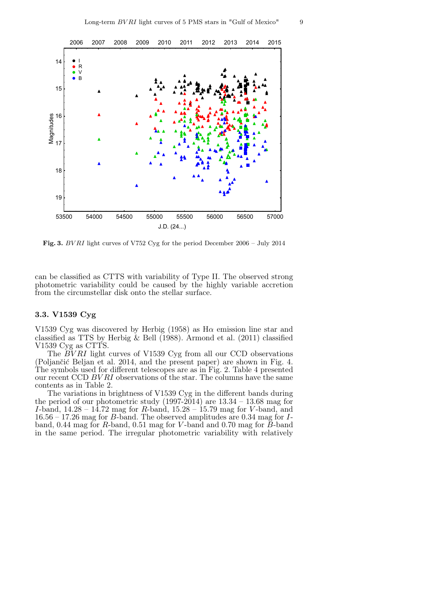

Fig. 3. BV RI light curves of V752 Cyg for the period December 2006 – July 2014

can be classified as CTTS with variability of Type II. The observed strong photometric variability could be caused by the highly variable accretion from the circumstellar disk onto the stellar surface.

## 3.3. V1539 Cyg

V1539 Cyg was discovered by Herbig (1958) as  $H\alpha$  emission line star and classified as TTS by Herbig & Bell (1988). Armond et al. (2011) classified V1539 Cyg as CTTS.

The  $\overline{B}VRI$  light curves of V1539 Cyg from all our CCD observations (Poljančić Beljan et al. 2014, and the present paper) are shown in Fig. 4. The symbols used for different telescopes are as in Fig. 2. Table 4 presented our recent CCD BVRI observations of the star. The columns have the same contents as in Table 2.

The variations in brightness of V1539 Cyg in the different bands during the period of our photometric study (1997-2014) are  $13.34 - 13.68$  mag for I-band,  $14.28 - 14.72$  mag for R-band,  $15.28 - 15.79$  mag for V-band, and 16.56 – 17.26 mag for B-band. The observed amplitudes are 0.34 mag for Iband, 0.44 mag for  $R$ -band, 0.51 mag for  $V$ -band and 0.70 mag for  $\bar{B}$ -band in the same period. The irregular photometric variability with relatively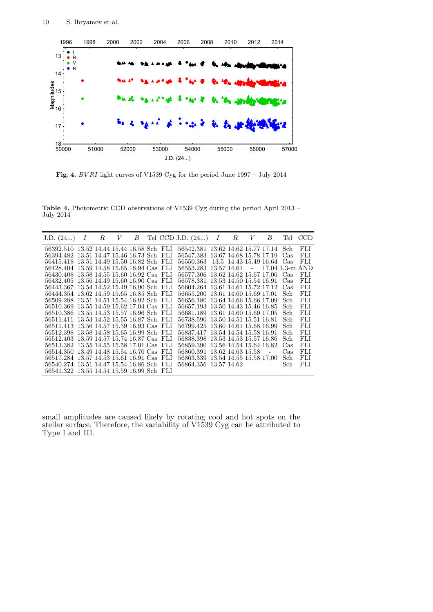

Fig. 4. BV RI light curves of V1539 Cyg for the period June 1997 – July 2014

Table 4. Photometric CCD observations of V1539 Cyg during the period April 2013 – July 2014

| J.D. (24)                                 | I | $_{R}$ | V | В |  | Tel CCD J.D. (24)                     | I | $R$ $V$              | В               | Tel       | CCD        |
|-------------------------------------------|---|--------|---|---|--|---------------------------------------|---|----------------------|-----------------|-----------|------------|
| 56392.510 13.52 14.44 15.44 16.58 Sch FLI |   |        |   |   |  | 56542.381 13.62 14.62 15.77 17.14 Sch |   |                      |                 |           | FLI        |
| 56394.482 13.51 14.47 15.46 16.73 Sch FLI |   |        |   |   |  | 56547.383 13.67 14.68 15.78 17.19     |   |                      |                 | - Cas     | FLI.       |
| 56415.418 13.51 14.49 15.50 16.82 Sch FLI |   |        |   |   |  | 56550.363 13.5 14.43 15.49 16.64 Cas  |   |                      |                 |           | FLI.       |
| 56428.404 13.59 14.58 15.65 16.94 Cas FLI |   |        |   |   |  | 56553.283 13.57 14.61                 |   | $\sim 100$ m $^{-1}$ | 17.04 1.3-m AND |           |            |
| 56430.408 13.58 14.55 15.60 16.92 Cas FLI |   |        |   |   |  | 56577.306 13.62 14.62 15.67 17.06 Cas |   |                      |                 |           | FLI.       |
| 56432.405 13.56 14.49 15.60 16.90 Cas FLI |   |        |   |   |  | 56578.331 13.53 14.50 15.54 16.91     |   |                      |                 | Cas       | FLI        |
| 56443.367 13.54 14.52 15.49 16.90 Sch FLI |   |        |   |   |  | 56604.264 13.61 14.61 15.72 17.12     |   |                      |                 | Cas       | FLI.       |
| 56444.354 13.62 14.59 15.65 16.85 Sch FLI |   |        |   |   |  | 56655.200 13.61 14.60 15.69 17.01     |   |                      |                 | Sch       | FLI        |
| 56509.288 13.51 14.51 15.54 16.92 Sch FLI |   |        |   |   |  | 56656.180 13.64 14.66 15.66 17.09     |   |                      |                 | Sch       | FLI        |
| 56510.369 13.55 14.59 15.62 17.04 Cas FLI |   |        |   |   |  | 56657.193 13.50 14.43 15.46 16.85     |   |                      |                 | Sch       | FLI        |
| 56510.386 13.55 14.53 15.57 16.96 Sch FLI |   |        |   |   |  | 56681.189 13.61 14.60 15.69 17.05     |   |                      |                 | Sch       | <b>FLI</b> |
| 56511.411 13.53 14.52 15.55 16.87 Sch FLI |   |        |   |   |  | 56738.590 13.50 14.51 15.51 16.81     |   |                      |                 | Sch       | FLI        |
| 56511.413 13.56 14.57 15.59 16.93 Cas FLI |   |        |   |   |  | 56799.425 13.60 14.61 15.68 16.99     |   |                      |                 | Sch       | FLI        |
| 56512.398 13.58 14.58 15.65 16.99 Sch FLI |   |        |   |   |  | 56837.417 13.54 14.54 15.58 16.91     |   |                      |                 | Sch       | FLI.       |
| 56512.403 13.59 14.57 15.74 16.87 Cas FLI |   |        |   |   |  | 56838.398 13.53 14.53 15.57 16.86     |   |                      |                 | Sch       | FLI        |
| 56513.382 13.55 14.55 15.58 17.01 Cas FLI |   |        |   |   |  | 56859.390 13.56 14.54 15.64 16.82     |   |                      |                 | $\rm Cas$ | FLI        |
| 56514.350 13.49 14.48 15.54 16.70 Cas FLI |   |        |   |   |  | 56860.391 13.62 14.63 15.58           |   |                      |                 | Cas       | FLI.       |
| 56517.284 13.57 14.53 15.61 16.91 Cas FLI |   |        |   |   |  | 56863.339 13.54 14.55 15.58 17.00     |   |                      |                 | Sch       | <b>FLI</b> |
| 56540.274 13.51 14.47 15.54 16.86 Sch FLI |   |        |   |   |  | 56864.356 13.57 14.62 -               |   |                      |                 | Sch       | FLI        |
| 56541.322 13.55 14.54 15.59 16.99 Sch FLI |   |        |   |   |  |                                       |   |                      |                 |           |            |

small amplitudes are caused likely by rotating cool and hot spots on the stellar surface. Therefore, the variability of V1539 Cyg can be attributed to Type I and III.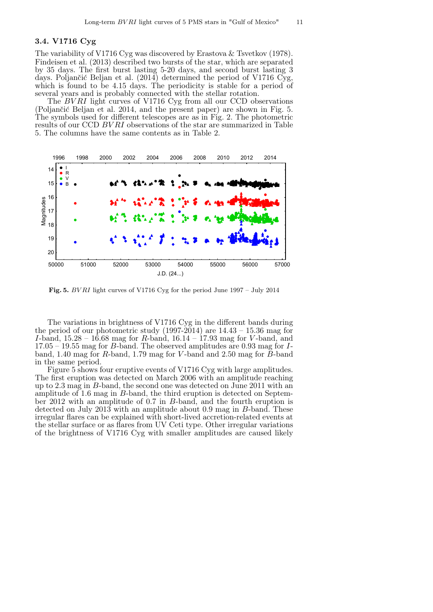#### 3.4. V1716 Cyg

The variability of V1716 Cyg was discovered by Erastova & Tsvetkov (1978). Findeisen et al. (2013) described two bursts of the star, which are separated by 35 days. The first burst lasting 5-20 days, and second burst lasting 3 days. Poljančić Beljan et al. (2014) determined the period of V1716 Cyg, which is found to be 4.15 days. The periodicity is stable for a period of several years and is probably connected with the stellar rotation.

The BVRI light curves of V1716 Cyg from all our CCD observations (Poljančić Beljan et al. 2014, and the present paper) are shown in Fig.  $5$ . The symbols used for different telescopes are as in Fig. 2. The photometric results of our CCD BV RI observations of the star are summarized in Table 5. The columns have the same contents as in Table 2.



Fig. 5. BV RI light curves of V1716 Cyg for the period June 1997 – July 2014

The variations in brightness of V1716 Cyg in the different bands during the period of our photometric study (1997-2014) are  $14.43 - 15.36$  mag for *I*-band,  $15.28 - 16.68$  mag for *R*-band,  $16.14 - 17.93$  mag for *V*-band, and  $17.05 - 19.55$  mag for *B*-band. The observed amplitudes are 0.93 mag for *I*band, 1.40 mag for R-band, 1.79 mag for V-band and 2.50 mag for  $\overrightarrow{B}$ -band in the same period.

Figure 5 shows four eruptive events of V1716 Cyg with large amplitudes. The first eruption was detected on March 2006 with an amplitude reaching up to 2.3 mag in B-band, the second one was detected on June 2011 with an amplitude of 1.6 mag in  $B$ -band, the third eruption is detected on September 2012 with an amplitude of 0.7 in B-band, and the fourth eruption is detected on July 2013 with an amplitude about 0.9 mag in B-band. These irregular flares can be explained with short-lived accretion-related events at the stellar surface or as flares from UV Ceti type. Other irregular variations of the brightness of V1716 Cyg with smaller amplitudes are caused likely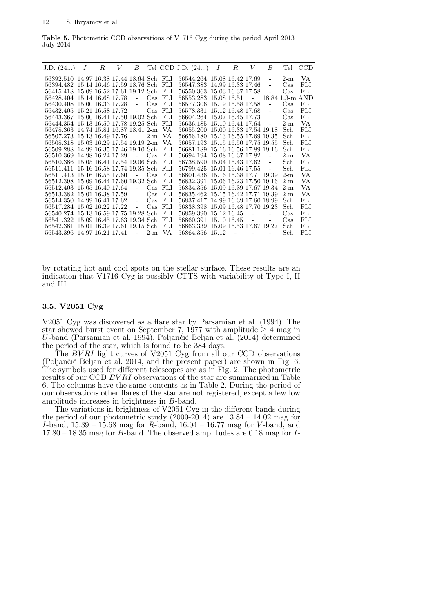Table 5. Photometric CCD observations of V1716 Cyg during the period April 2013 – July 2014

| J.D. (24)                                 | Ι | $_{R}$ | V | В                        |           |                  | Tel CCD J.D. $(24)$               | Ι | $_{R}$ | V | В  | Tel             | CCD        |
|-------------------------------------------|---|--------|---|--------------------------|-----------|------------------|-----------------------------------|---|--------|---|----|-----------------|------------|
| 56392.510 14.97 16.38 17.44 18.64 Sch FLI |   |        |   |                          |           |                  | 56544.264 15.08 16.42 17.69       |   |        |   |    | $2-m$           | VA         |
| 56394.482 15.14 16.46 17.59 18.76 Sch FLI |   |        |   |                          |           |                  | 56547.383 14.99 16.33 17.46       |   |        |   |    | Cas             | FLI        |
| 56415.418 15.09 16.52 17.61 19.12 Sch FLI |   |        |   |                          |           |                  | 56550.363 15.03 16.37 17.58       |   |        |   |    | $\cos$          | FLI        |
| 56428.404 15.14 16.68 17.78               |   |        |   | $\overline{\phantom{0}}$ |           | Cas FLI          | 56553.283 15.08 16.51             |   |        |   |    | 18.84 1.3-m AND |            |
| 56430.408 15.00 16.33 17.28               |   |        |   | $\blacksquare$           | $\rm Cas$ | FLI              | 56577.306 15.19 16.58 17.58       |   |        |   |    | Cas             | FLI        |
| 56432.405 15.21 16.58 17.72               |   |        |   | $\sim$                   | $\cos$    | - FLI            | 56578.331 15.12 16.48 17.68       |   |        |   | ÷, | $\rm Cas$       | FLI        |
| 56443.367 15.00 16.41 17.50 19.02 Sch     |   |        |   |                          |           | -FLI             | 56604.264 15.07 16.45 17.73       |   |        |   | ÷, | Cas             | FLI        |
| 56444.354 15.13 16.50 17.78 19.25 Sch     |   |        |   |                          |           | FЫ               | 56636.185 15.10 16.41 17.64       |   |        |   |    | $2-m$           | VA         |
| 56478.363 14.74 15.81 16.87 18.41 2-m     |   |        |   |                          |           | VA               | 56655.200 15.00 16.33 17.54 19.18 |   |        |   |    | Sch             | FLI        |
| 56507.273 15.13 16.49 17.76               |   |        |   | $\sim$                   | $2-m$     | VA.              | 56656.180 15.13 16.55 17.69 19.35 |   |        |   |    | Sch             | <b>FLI</b> |
| 56508.318 15.03 16.29 17.54 19.19 2-m     |   |        |   |                          |           | VA.              | 56657.193 15.15 16.50 17.75 19.55 |   |        |   |    | Sch             | FLI        |
| 56509.288 14.99 16.35 17.46 19.10 Sch     |   |        |   |                          |           | <b>FLI</b>       | 56681.189 15.16 16.56 17.89 19.16 |   |        |   |    | Sch             | FLI        |
| 56510.369 14.98 16.24 17.29               |   |        |   | $\blacksquare$           | $\rm Cas$ | -FLI             | 56694.194 15.08 16.37 17.82       |   |        |   |    | $2-m$           | VA         |
| 56510.386 15.05 16.41 17.54 19.06 Sch     |   |        |   |                          |           | -FLI             | 56738.590 15.04 16.43 17.62       |   |        |   |    | Sch             | FLI        |
| 56511.411 15.16 16.58 17.74 19.35 Sch     |   |        |   |                          |           | FLI              | 56799.425 15.01 16.46 17.55       |   |        |   |    | Sch             | FLI        |
| 56511.413 15.16 16.55 17.60               |   |        |   |                          | $\rm Cas$ | - FLI            | 56801.436 15.16 16.38 17.71 19.39 |   |        |   |    | $2-m$           | VA         |
| 56512.398 15.09 16.44 17.60 19.32 Sch     |   |        |   |                          |           | FLI              | 56832.391 15.06 16.23 17.50 19.16 |   |        |   |    | $2-m$           | VA         |
| 56512.403 15.05 16.40 17.64               |   |        |   | $\blacksquare$           |           | $\text{Cas}$ FLI | 56834.356 15.09 16.39 17.67 19.34 |   |        |   |    | $2-m$           | VA         |
| 56513.382 15.01 16.38 17.59               |   |        |   | $\blacksquare$           | Cas       | FLI              | 56835.462 15.15 16.42 17.71 19.39 |   |        |   |    | $2-m$           | VA         |
| 56514.350 14.99 16.41 17.62               |   |        |   | $\blacksquare$           |           | Cas FLI          | 56837.417 14.99 16.39 17.60 18.99 |   |        |   |    | Sch             | FLI        |
| 56517.284 15.02 16.22 17.22               |   |        |   | $\blacksquare$           | $\cos$    | FLI              | 56838.398 15.09 16.48 17.70 19.23 |   |        |   |    | Sch             | FLI        |
| 56540.274 15.13 16.59 17.75 19.28 Sch     |   |        |   |                          |           | FLI              | 56859.390 15.12 16.45             |   |        |   |    | $\rm Cas$       | FLI        |
| 56541.322 15.09 16.45 17.63 19.34 Sch     |   |        |   |                          |           | - FLI            | 56860.391 15.10 16.45             |   |        |   |    | Cas             | <b>FLI</b> |
| 56542.381 15.01 16.39 17.61 19.15 Sch     |   |        |   |                          |           | FLI              | 56863.339 15.09 16.53 17.67 19.27 |   |        |   |    | Sch             | FLI        |
| 56543.396 14.97 16.21 17.41               |   |        |   | $\overline{a}$           | $2-m$     | VA               | 56864.356 15.12                   |   | ÷,     |   |    | Sch             | FLI        |

by rotating hot and cool spots on the stellar surface. These results are an indication that V1716 Cyg is possibly CTTS with variability of Type I, II and III.

#### 3.5. V2051 Cyg

V2051 Cyg was discovered as a flare star by Parsamian et al. (1994). The star showed burst event on September 7, 1977 with amplitude  $\geq 4$  mag in U-band (Parsamian et al. 1994). Poljančić Beljan et al. (2014)  $\overline{\text{d}}$ etermined the period of the star, which is found to be 384 days.

The  $BVRI$  light curves of V2051 Cyg from all our CCD observations (Poljančić Beljan et al. 2014, and the present paper) are shown in Fig.  $6$ . The symbols used for different telescopes are as in Fig. 2. The photometric results of our CCD BVRI observations of the star are summarized in Table 6. The columns have the same contents as in Table 2. During the period of our observations other flares of the star are not registered, except a few low amplitude increases in brightness in B-band.

The variations in brightness of V2051 Cyg in the different bands during the period of our photometric study  $(2000-2014)$  are  $13.84 - 14.02$  mag for I-band,  $15.39 - 15.68$  mag for R-band,  $16.04 - 16.77$  mag for V-band, and 17.80 – 18.35 mag for B-band. The observed amplitudes are 0.18 mag for I-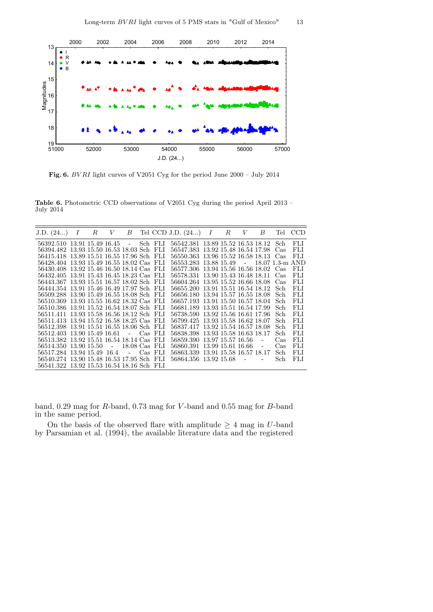

Fig. 6. BV RI light curves of V2051 Cyg for the period June 2000 – July 2014

Table 6. Photometric CCD observations of V2051 Cyg during the period April 2013 – July 2014

| J.D. (24)                                 | Ι | $_{R}$ | V | В |           | Tel CCD J.D. $(24)$                 | I | R | V | В | Tel  | <b>CCD</b> |
|-------------------------------------------|---|--------|---|---|-----------|-------------------------------------|---|---|---|---|------|------------|
| 56392.510 13.91 15.49 16.45 - Sch FLI     |   |        |   |   |           | 56542.381 13.89 15.52 16.53 18.12   |   |   |   |   | Sch  | FLI        |
| 56394.482 13.93 15.50 16.53 18.03 Sch FLI |   |        |   |   |           | 56547.383 13.92 15.48 16.54 17.98   |   |   |   |   | Cas  | FLI        |
| 56415.418 13.89 15.51 16.55 17.96 Sch FLI |   |        |   |   |           | 56550.363 13.96 15.52 16.58 18.13   |   |   |   |   | Cas  | FLI        |
| 56428.404 13.93 15.49 16.55 18.02 Cas FLI |   |        |   |   |           | 56553.283 13.88 15.49 - 18.07 1.3-m |   |   |   |   |      | AND.       |
| 56430.408 13.92 15.46 16.50 18.14 Cas FLI |   |        |   |   |           | 56577.306 13.94 15.56 16.56 18.02   |   |   |   |   | Cas  | FLI        |
| 56432.405 13.91 15.43 16.45 18.23 Cas FLI |   |        |   |   |           | 56578.331 13.90 15.43 16.48 18.11   |   |   |   |   | Cas  | FLI        |
| 56443.367 13.93 15.51 16.57 18.02 Sch FLI |   |        |   |   |           | 56604.264 13.95 15.52 16.66 18.08   |   |   |   |   | Cas  | FLI.       |
| 56444.354 13.91 15.46 16.49 17.97 Sch FLI |   |        |   |   |           | 56655.200 13.91 15.51 16.54 18.12   |   |   |   |   | Sch  | FLI        |
| 56509.288 13.90 15.49 16.55 18.08 Sch FLI |   |        |   |   |           | 56656.180 13.94 15.57 16.55 18.08   |   |   |   |   | Sch  | FLI        |
| 56510.369 13.93 15.55 16.62 18.32 Cas FLI |   |        |   |   |           | 56657.193 13.91 15.50 16.57 18.04   |   |   |   |   | Sch  | FLI        |
| 56510.386 13.91 15.52 16.54 18.07 Sch FLI |   |        |   |   |           | 56681.189 13.93 15.51 16.54 17.99   |   |   |   |   | Sch  | FLI        |
| 56511.411 13.93 15.58 16.56 18.12 Sch FLI |   |        |   |   |           | 56738.590 13.92 15.56 16.61 17.96   |   |   |   |   | Sch- | FLI        |
| 56511.413 13.94 15.52 16.58 18.25 Cas FLI |   |        |   |   |           | 56799.425 13.93 15.58 16.62 18.07   |   |   |   |   | Sch  | FLI        |
| 56512.398 13.91 15.51 16.55 18.06 Sch FLI |   |        |   |   |           | 56837.417 13.92 15.54 16.57 18.08   |   |   |   |   | Sch  | FLI.       |
| 56512.403 13.90 15.49 16.61               |   |        |   |   | - Cas FLI | 56838.398 13.93 15.58 16.63 18.17   |   |   |   |   | Sch  | FLI        |
| 56513.382 13.92 15.51 16.54 18.14 Cas FLI |   |        |   |   |           | 56859.390 13.97 15.57 16.56         |   |   |   |   | Cas  | FLI        |
| 56514.350 13.90 15.50 - 18.08 Cas FLI     |   |        |   |   |           | 56860.391 13.99 15.61 16.66         |   |   |   |   | Cas  | FLI        |
| 56517.284 13.94 15.49 16.4                |   |        |   |   | - Cas FLI | 56863.339 13.91 15.58 16.57 18.17   |   |   |   |   | Sch  | FLI        |
| 56540.274 13.90 15.48 16.53 17.95 Sch FLI |   |        |   |   |           | 56864.356 13.92 15.68 -             |   |   |   |   | Sch  | FLI        |
| 56541.322 13.92 15.53 16.54 18.16 Sch FLI |   |        |   |   |           |                                     |   |   |   |   |      |            |

band, 0.29 mag for R-band, 0.73 mag for V -band and 0.55 mag for B-band in the same period.

On the basis of the observed flare with amplitude  $\geq 4$  mag in U-band by Parsamian et al. (1994), the available literature data and the registered